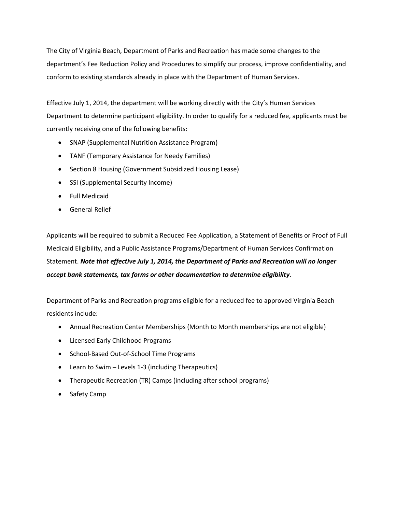The City of Virginia Beach, Department of Parks and Recreation has made some changes to the department's Fee Reduction Policy and Procedures to simplify our process, improve confidentiality, and conform to existing standards already in place with the Department of Human Services.

Effective July 1, 2014, the department will be working directly with the City's Human Services Department to determine participant eligibility. In order to qualify for a reduced fee, applicants must be currently receiving one of the following benefits:

- SNAP (Supplemental Nutrition Assistance Program)
- TANF (Temporary Assistance for Needy Families)
- Section 8 Housing (Government Subsidized Housing Lease)
- SSI (Supplemental Security Income)
- Full Medicaid
- General Relief

Applicants will be required to submit a Reduced Fee Application, a Statement of Benefits or Proof of Full Medicaid Eligibility, and a Public Assistance Programs/Department of Human Services Confirmation Statement. *Note that effective July 1, 2014, the Department of Parks and Recreation will no longer accept bank statements, tax forms or other documentation to determine eligibility*.

Department of Parks and Recreation programs eligible for a reduced fee to approved Virginia Beach residents include:

- Annual Recreation Center Memberships (Month to Month memberships are not eligible)
- Licensed Early Childhood Programs
- School-Based Out-of-School Time Programs
- Learn to Swim Levels 1-3 (including Therapeutics)
- Therapeutic Recreation (TR) Camps (including after school programs)
- Safety Camp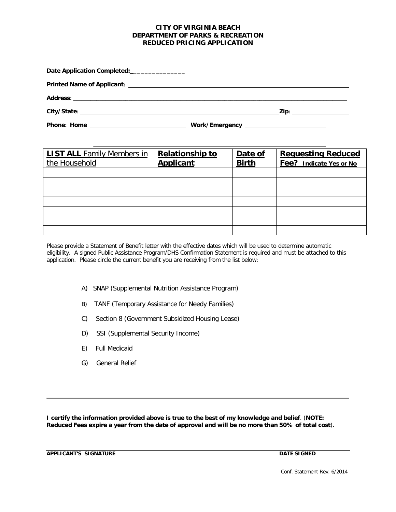## **CITY OF VIRGINIA BEACH DEPARTMENT OF PARKS & RECREATION REDUCED PRICING APPLICATION**

Date Application Completed: \_\_\_\_\_\_\_\_\_\_\_\_\_\_\_\_\_

**Printed Name of Applicant:** 

**Address:** \_\_\_\_\_\_\_\_\_\_\_\_\_\_\_\_\_\_\_\_\_\_\_\_\_\_\_\_\_\_\_\_\_\_\_\_\_\_\_\_\_\_\_\_\_\_\_\_\_\_\_\_\_\_\_\_\_\_\_\_\_\_\_\_\_\_\_\_\_\_\_\_\_\_\_\_\_\_\_\_\_\_\_\_\_\_\_\_\_\_\_\_\_\_

**City/State: Zip:**

**Phone:** Home **Mone Mone Work/Emergency Mone: Home Mone Work/Emergency Mone Mone Mone Mone Mone Mone Mone Mone Mone Mone Mone Mone Mone Mone Mone Mone Mone Mone Mone Mone** 

| <b>LIST ALL Family Members in</b><br>the Household | <b>Relationship to</b><br><b>Applicant</b> | Date of<br><b>Birth</b> | <b>Requesting Reduced</b><br>Fee? Indicate Yes or No |
|----------------------------------------------------|--------------------------------------------|-------------------------|------------------------------------------------------|
|                                                    |                                            |                         |                                                      |
|                                                    |                                            |                         |                                                      |
|                                                    |                                            |                         |                                                      |
|                                                    |                                            |                         |                                                      |
|                                                    |                                            |                         |                                                      |
|                                                    |                                            |                         |                                                      |
|                                                    |                                            |                         |                                                      |

Please provide a Statement of Benefit letter with the effective dates which will be used to determine automatic eligibility. A signed Public Assistance Program/DHS Confirmation Statement is required and must be attached to this application. Please circle the current benefit you are receiving from the list below:

- A) SNAP (Supplemental Nutrition Assistance Program)
- B) TANF (Temporary Assistance for Needy Families)
- C) Section 8 (Government Subsidized Housing Lease)
- D) SSI (Supplemental Security Income)
- E) Full Medicaid
- G) General Relief

**I certify the information provided above is true to the best of my knowledge and belief**. (**NOTE: Reduced Fees expire a year from the date of approval and will be no more than 50% of total cost**).

**APPLICANT'S SIGNATURE DATE SIGNED**